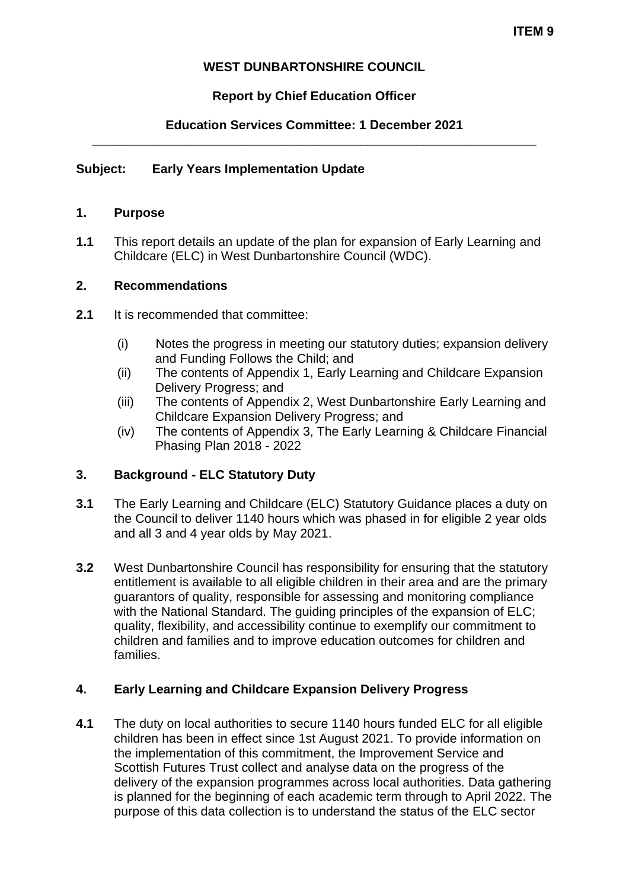# **WEST DUNBARTONSHIRE COUNCIL**

# **Report by Chief Education Officer**

## **Education Services Committee: 1 December 2021 \_\_\_\_\_\_\_\_\_\_\_\_\_\_\_\_\_\_\_\_\_\_\_\_\_\_\_\_\_\_\_\_\_\_\_\_\_\_\_\_\_\_\_\_\_\_\_\_\_\_\_\_\_\_\_\_\_\_\_\_\_\_\_**

## **Subject: Early Years Implementation Update**

#### **1. Purpose**

**1.1** This report details an update of the plan for expansion of Early Learning and Childcare (ELC) in West Dunbartonshire Council (WDC).

## **2. Recommendations**

- **2.1** It is recommended that committee:
	- (i) Notes the progress in meeting our statutory duties; expansion delivery and Funding Follows the Child; and
	- (ii) The contents of Appendix 1, Early Learning and Childcare Expansion Delivery Progress; and
	- (iii) The contents of Appendix 2, West Dunbartonshire Early Learning and Childcare Expansion Delivery Progress; and
	- (iv) The contents of Appendix 3, The Early Learning & Childcare Financial Phasing Plan 2018 - 2022

#### **3. Background - ELC Statutory Duty**

- **3.1** The Early Learning and Childcare (ELC) Statutory Guidance places a duty on the Council to deliver 1140 hours which was phased in for eligible 2 year olds and all 3 and 4 year olds by May 2021.
- **3.2** West Dunbartonshire Council has responsibility for ensuring that the statutory entitlement is available to all eligible children in their area and are the primary guarantors of quality, responsible for assessing and monitoring compliance with the National Standard. The guiding principles of the expansion of ELC; quality, flexibility, and accessibility continue to exemplify our commitment to children and families and to improve education outcomes for children and families.

#### **4. Early Learning and Childcare Expansion Delivery Progress**

**4.1** The duty on local authorities to secure 1140 hours funded ELC for all eligible children has been in effect since 1st August 2021. To provide information on the implementation of this commitment, the Improvement Service and Scottish Futures Trust collect and analyse data on the progress of the delivery of the expansion programmes across local authorities. Data gathering is planned for the beginning of each academic term through to April 2022. The purpose of this data collection is to understand the status of the ELC sector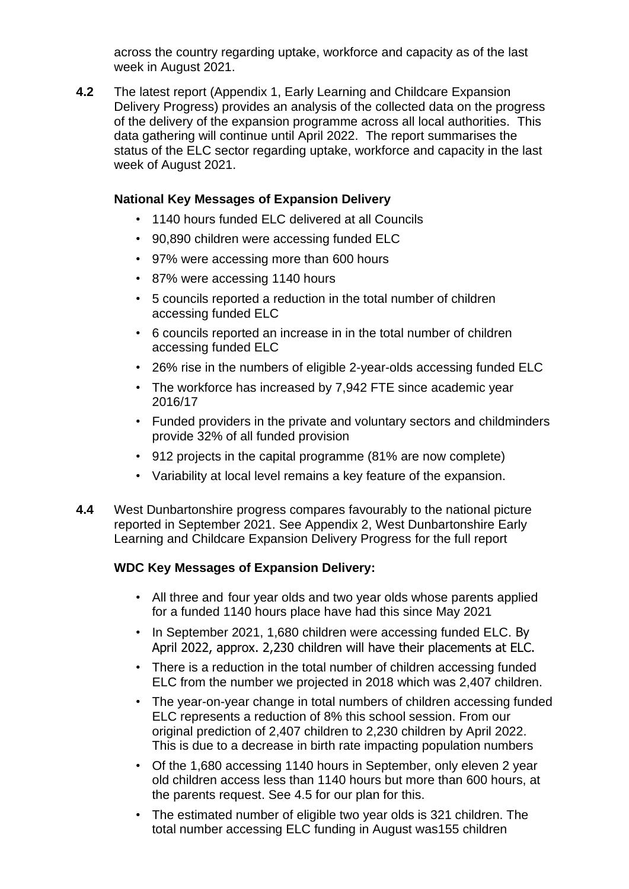across the country regarding uptake, workforce and capacity as of the last week in August 2021.

**4.2** The latest report (Appendix 1, Early Learning and Childcare Expansion Delivery Progress) provides an analysis of the collected data on the progress of the delivery of the expansion programme across all local authorities. This data gathering will continue until April 2022. The report summarises the status of the ELC sector regarding uptake, workforce and capacity in the last week of August 2021.

## **National Key Messages of Expansion Delivery**

- 1140 hours funded ELC delivered at all Councils
- 90,890 children were accessing funded ELC
- 97% were accessing more than 600 hours
- 87% were accessing 1140 hours
- 5 councils reported a reduction in the total number of children accessing funded ELC
- 6 councils reported an increase in in the total number of children accessing funded ELC
- 26% rise in the numbers of eligible 2-year-olds accessing funded ELC
- The workforce has increased by 7,942 FTE since academic year 2016/17
- Funded providers in the private and voluntary sectors and childminders provide 32% of all funded provision
- 912 projects in the capital programme (81% are now complete)
- Variability at local level remains a key feature of the expansion.
- **4.4** West Dunbartonshire progress compares favourably to the national picture reported in September 2021. See Appendix 2, West Dunbartonshire Early Learning and Childcare Expansion Delivery Progress for the full report

# **WDC Key Messages of Expansion Delivery:**

- All three and four year olds and two year olds whose parents applied for a funded 1140 hours place have had this since May 2021
- In September 2021, 1,680 children were accessing funded ELC. By April 2022, approx. 2,230 children will have their placements at ELC.
- There is a reduction in the total number of children accessing funded ELC from the number we projected in 2018 which was 2,407 children.
- The year-on-year change in total numbers of children accessing funded ELC represents a reduction of 8% this school session. From our original prediction of 2,407 children to 2,230 children by April 2022. This is due to a decrease in birth rate impacting population numbers
- Of the 1,680 accessing 1140 hours in September, only eleven 2 year old children access less than 1140 hours but more than 600 hours, at the parents request. See 4.5 for our plan for this.
- The estimated number of eligible two year olds is 321 children. The total number accessing ELC funding in August was155 children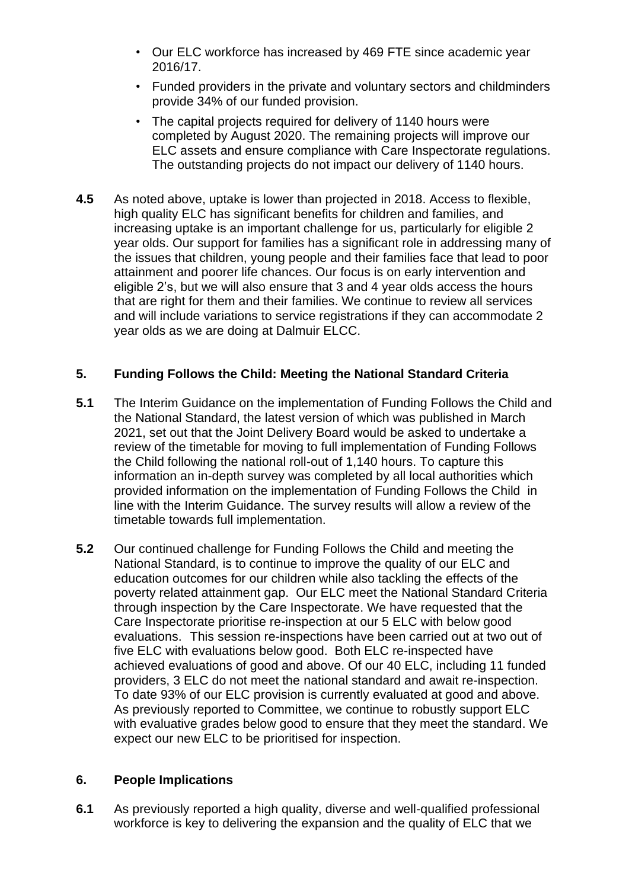- Our ELC workforce has increased by 469 FTE since academic year 2016/17.
- Funded providers in the private and voluntary sectors and childminders provide 34% of our funded provision.
- The capital projects required for delivery of 1140 hours were completed by August 2020. The remaining projects will improve our ELC assets and ensure compliance with Care Inspectorate regulations. The outstanding projects do not impact our delivery of 1140 hours.
- **4.5** As noted above, uptake is lower than projected in 2018. Access to flexible, high quality ELC has significant benefits for children and families, and increasing uptake is an important challenge for us, particularly for eligible 2 year olds. Our support for families has a significant role in addressing many of the issues that children, young people and their families face that lead to poor attainment and poorer life chances. Our focus is on early intervention and eligible 2's, but we will also ensure that 3 and 4 year olds access the hours that are right for them and their families. We continue to review all services and will include variations to service registrations if they can accommodate 2 year olds as we are doing at Dalmuir ELCC.

## **5. Funding Follows the Child: Meeting the National Standard Criteria**

- **5.1** The Interim Guidance on the implementation of Funding Follows the Child and the National Standard, the latest version of which was published in March 2021, set out that the Joint Delivery Board would be asked to undertake a review of the timetable for moving to full implementation of Funding Follows the Child following the national roll-out of 1,140 hours. To capture this information an in-depth survey was completed by all local authorities which provided information on the implementation of Funding Follows the Child in line with the Interim Guidance. The survey results will allow a review of the timetable towards full implementation.
- **5.2** Our continued challenge for Funding Follows the Child and meeting the National Standard, is to continue to improve the quality of our ELC and education outcomes for our children while also tackling the effects of the poverty related attainment gap. Our ELC meet the National Standard Criteria through inspection by the Care Inspectorate. We have requested that the Care Inspectorate prioritise re-inspection at our 5 ELC with below good evaluations. This session re-inspections have been carried out at two out of five ELC with evaluations below good. Both ELC re-inspected have achieved evaluations of good and above. Of our 40 ELC, including 11 funded providers, 3 ELC do not meet the national standard and await re-inspection. To date 93% of our ELC provision is currently evaluated at good and above. As previously reported to Committee, we continue to robustly support ELC with evaluative grades below good to ensure that they meet the standard. We expect our new ELC to be prioritised for inspection.

#### **6. People Implications**

**6.1** As previously reported a high quality, diverse and well-qualified professional workforce is key to delivering the expansion and the quality of ELC that we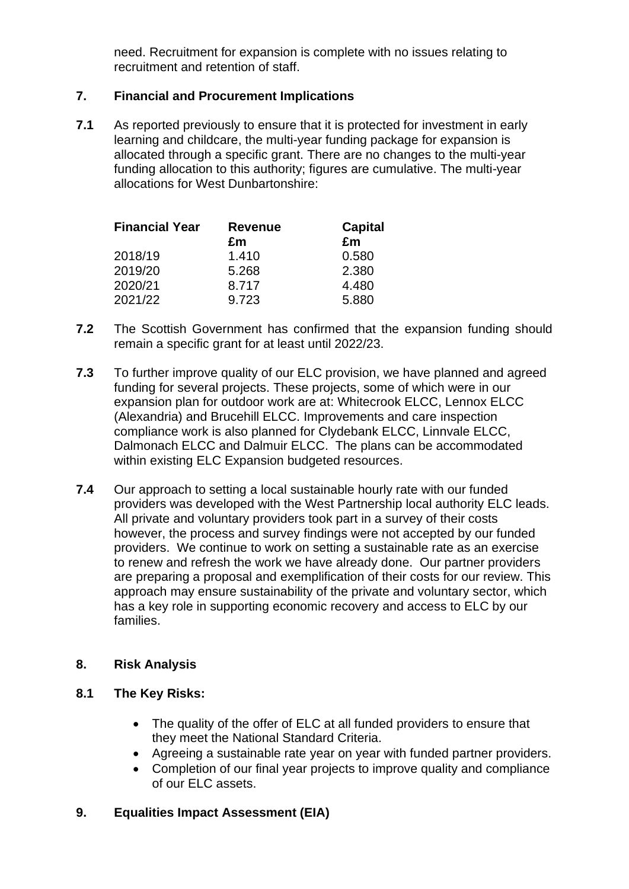need. Recruitment for expansion is complete with no issues relating to recruitment and retention of staff.

# **7. Financial and Procurement Implications**

**7.1** As reported previously to ensure that it is protected for investment in early learning and childcare, the multi-year funding package for expansion is allocated through a specific grant. There are no changes to the multi-year funding allocation to this authority; figures are cumulative. The multi-year allocations for West Dunbartonshire:

| <b>Financial Year</b> | <b>Revenue</b> | <b>Capital</b> |
|-----------------------|----------------|----------------|
|                       | £m             | £m             |
| 2018/19               | 1.410          | 0.580          |
| 2019/20               | 5.268          | 2.380          |
| 2020/21               | 8.717          | 4.480          |
| 2021/22               | 9.723          | 5.880          |

- **7.2** The Scottish Government has confirmed that the expansion funding should remain a specific grant for at least until 2022/23.
- **7.3** To further improve quality of our ELC provision, we have planned and agreed funding for several projects. These projects, some of which were in our expansion plan for outdoor work are at: Whitecrook ELCC, Lennox ELCC (Alexandria) and Brucehill ELCC. Improvements and care inspection compliance work is also planned for Clydebank ELCC, Linnvale ELCC, Dalmonach ELCC and Dalmuir ELCC. The plans can be accommodated within existing ELC Expansion budgeted resources.
- **7.4** Our approach to setting a local sustainable hourly rate with our funded providers was developed with the West Partnership local authority ELC leads. All private and voluntary providers took part in a survey of their costs however, the process and survey findings were not accepted by our funded providers. We continue to work on setting a sustainable rate as an exercise to renew and refresh the work we have already done. Our partner providers are preparing a proposal and exemplification of their costs for our review. This approach may ensure sustainability of the private and voluntary sector, which has a key role in supporting economic recovery and access to ELC by our families.

#### **8. Risk Analysis**

#### **8.1 The Key Risks:**

- The quality of the offer of ELC at all funded providers to ensure that they meet the National Standard Criteria.
- Agreeing a sustainable rate year on year with funded partner providers.
- Completion of our final year projects to improve quality and compliance of our ELC assets.

#### **9. Equalities Impact Assessment (EIA)**